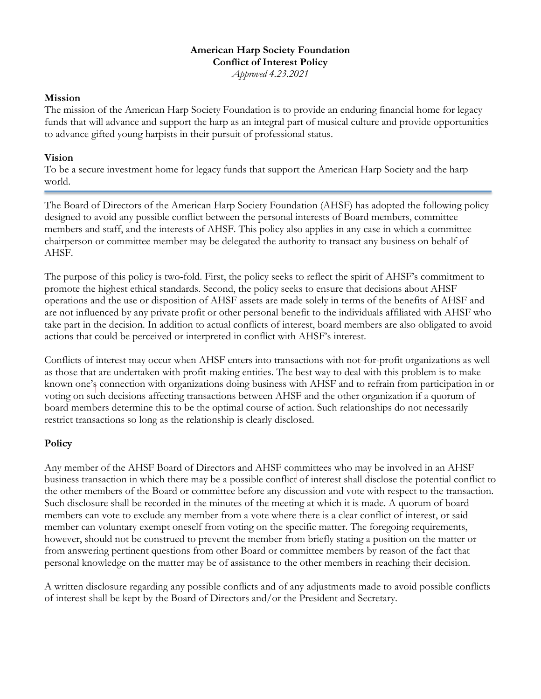### **American Harp Society Foundation Conflict of Interest Policy** *Approved 4.23.2021*

#### **Mission**

The mission of the American Harp Society Foundation is to provide an enduring financial home for legacy funds that will advance and support the harp as an integral part of musical culture and provide opportunities to advance gifted young harpists in their pursuit of professional status.

### **Vision**

To be a secure investment home for legacy funds that support the American Harp Society and the harp world.

The Board of Directors of the American Harp Society Foundation (AHSF) has adopted the following policy designed to avoid any possible conflict between the personal interests of Board members, committee members and staff, and the interests of AHSF. This policy also applies in any case in which a committee chairperson or committee member may be delegated the authority to transact any business on behalf of AHSF.

The purpose of this policy is two-fold. First, the policy seeks to reflect the spirit of AHSF's commitment to promote the highest ethical standards. Second, the policy seeks to ensure that decisions about AHSF operations and the use or disposition of AHSF assets are made solely in terms of the benefits of AHSF and are not influenced by any private profit or other personal benefit to the individuals affiliated with AHSF who take part in the decision. In addition to actual conflicts of interest, board members are also obligated to avoid actions that could be perceived or interpreted in conflict with AHSF's interest.

Conflicts of interest may occur when AHSF enters into transactions with not-for-profit organizations as well as those that are undertaken with profit-making entities. The best way to deal with this problem is to make known one's connection with organizations doing business with AHSF and to refrain from participation in or voting on such decisions affecting transactions between AHSF and the other organization if a quorum of board members determine this to be the optimal course of action. Such relationships do not necessarily restrict transactions so long as the relationship is clearly disclosed.

## **Policy**

Any member of the AHSF Board of Directors and AHSF committees who may be involved in an AHSF business transaction in which there may be a possible conflict of interest shall disclose the potential conflict to the other members of the Board or committee before any discussion and vote with respect to the transaction. Such disclosure shall be recorded in the minutes of the meeting at which it is made. A quorum of board members can vote to exclude any member from a vote where there is a clear conflict of interest, or said member can voluntary exempt oneself from voting on the specific matter. The foregoing requirements, however, should not be construed to prevent the member from briefly stating a position on the matter or from answering pertinent questions from other Board or committee members by reason of the fact that personal knowledge on the matter may be of assistance to the other members in reaching their decision.

A written disclosure regarding any possible conflicts and of any adjustments made to avoid possible conflicts of interest shall be kept by the Board of Directors and/or the President and Secretary.